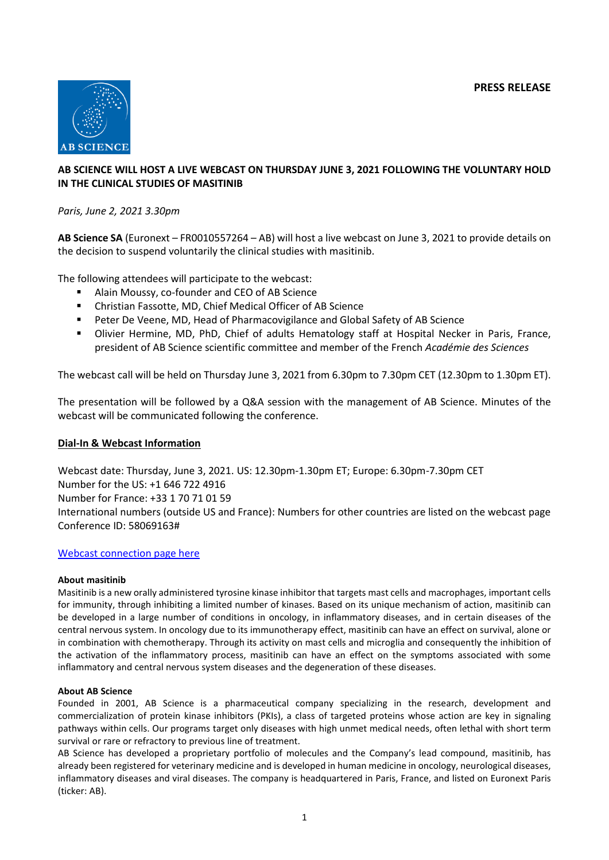

# **AB SCIENCE WILL HOST A LIVE WEBCAST ON THURSDAY JUNE 3, 2021 FOLLOWING THE VOLUNTARY HOLD IN THE CLINICAL STUDIES OF MASITINIB**

## *Paris, June 2, 2021 3.30pm*

**AB Science SA** (Euronext – FR0010557264 – AB) will host a live webcast on June 3, 2021 to provide details on the decision to suspend voluntarily the clinical studies with masitinib.

The following attendees will participate to the webcast:

- Alain Moussy, co-founder and CEO of AB Science
- Christian Fassotte, MD, Chief Medical Officer of AB Science
- Peter De Veene, MD, Head of Pharmacovigilance and Global Safety of AB Science
- **■** Olivier Hermine, MD, PhD, Chief of adults Hematology staff at Hospital Necker in Paris, France, president of AB Science scientific committee and member of the French *Académie des Sciences*

The webcast call will be held on Thursday June 3, 2021 from 6.30pm to 7.30pm CET (12.30pm to 1.30pm ET).

The presentation will be followed by a Q&A session with the management of AB Science. Minutes of the webcast will be communicated following the conference.

### **Dial-In & Webcast Information**

Webcast date: Thursday, June 3, 2021. US: 12.30pm-1.30pm ET; Europe: 6.30pm-7.30pm CET Number for the US: +1 646 722 4916 Number for France: +33 1 70 71 01 59 International numbers (outside US and France): Numbers for other countries are listed on the webcast page Conference ID: 58069163#

### [Webcast connection page here](https://onlinexperiences.com/scripts/Server.nxp?LASCmd=AI:4;F:QS!10100&ShowUUID=E9A9A940-A46F-4307-A60E-E5B0EDFDEC9D&LangLocaleID=1033)

### **About masitinib**

Masitinib is a new orally administered tyrosine kinase inhibitor that targets mast cells and macrophages, important cells for immunity, through inhibiting a limited number of kinases. Based on its unique mechanism of action, masitinib can be developed in a large number of conditions in oncology, in inflammatory diseases, and in certain diseases of the central nervous system. In oncology due to its immunotherapy effect, masitinib can have an effect on survival, alone or in combination with chemotherapy. Through its activity on mast cells and microglia and consequently the inhibition of the activation of the inflammatory process, masitinib can have an effect on the symptoms associated with some inflammatory and central nervous system diseases and the degeneration of these diseases.

### **About AB Science**

Founded in 2001, AB Science is a pharmaceutical company specializing in the research, development and commercialization of protein kinase inhibitors (PKIs), a class of targeted proteins whose action are key in signaling pathways within cells. Our programs target only diseases with high unmet medical needs, often lethal with short term survival or rare or refractory to previous line of treatment.

AB Science has developed a proprietary portfolio of molecules and the Company's lead compound, masitinib, has already been registered for veterinary medicine and is developed in human medicine in oncology, neurological diseases, inflammatory diseases and viral diseases. The company is headquartered in Paris, France, and listed on Euronext Paris (ticker: AB).